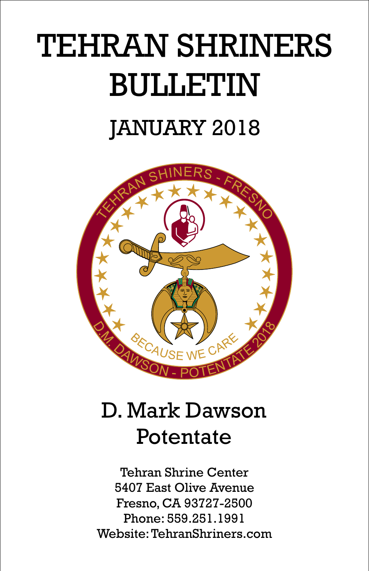# TEHRAN SHRINERS BULLETIN JANUARY 2018



### D. Mark Dawson Potentate

Tehran Shrine Center 5407 East Olive Avenue Fresno, CA 93727-2500 Phone: 559.251.1991 Website: TehranShriners.com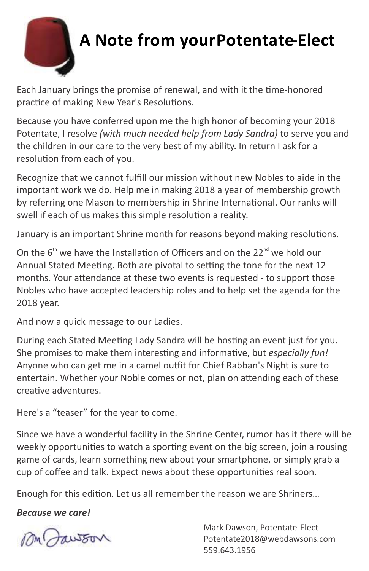

### **A Note from yourPotentate-Elect**

Each January brings the promise of renewal, and with it the time-honored practice of making New Year's Resolutions.

Because you have conferred upon me the high honor of becoming your 2018 Potentate, I resolve *(with much needed help from Lady Sandra)* to serve you and the children in our care to the very best of my ability. In return I ask for a resolution from each of you.

Recognize that we cannot fulfill our mission without new Nobles to aide in the important work we do. Help me in making 2018 a year of membership growth by referring one Mason to membership in Shrine International. Our ranks will swell if each of us makes this simple resolution a reality.

January is an important Shrine month for reasons beyond making resolutions.

On the  $6<sup>th</sup>$  we have the Installation of Officers and on the 22 $<sup>nd</sup>$  we hold our</sup> Annual Stated Meeting. Both are pivotal to setting the tone for the next 12 months. Your attendance at these two events is requested - to support those Nobles who have accepted leadership roles and to help set the agenda for the 2018 year.

And now a quick message to our Ladies.

During each Stated Meeting Lady Sandra will be hosting an event just for you. She promises to make them interesting and informative, but *especially fun!* Anyone who can get me in a camel outfit for Chief Rabban's Night is sure to entertain. Whether your Noble comes or not, plan on attending each of these creative adventures.

Here's a "teaser" for the year to come.

Since we have a wonderful facility in the Shrine Center, rumor has it there will be weekly opportunities to watch a sporting event on the big screen, join a rousing game of cards, learn something new about your smartphone, or simply grab a cup of coffee and talk. Expect news about these opportunities real soon.

Enough for this edition. Let us all remember the reason we are Shriners...

*Because we care!*

Mark Dawson, Potentate-Elect Potentate2018@webdawsons.com 559.643.1956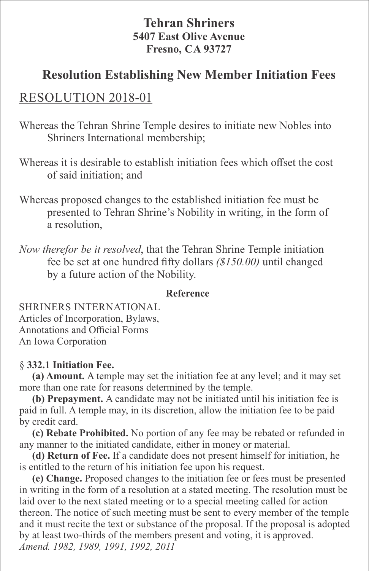#### **Tehran Shriners 5407 East Olive Avenue Fresno, CA 93727**

#### **Resolution Establishing New Member Initiation Fees**

#### RESOLUTION 2018-01

Whereas the Tehran Shrine Temple desires to initiate new Nobles into Shriners International membership;

- Whereas it is desirable to establish initiation fees which offset the cost of said initiation; and
- Whereas proposed changes to the established initiation fee must be presented to Tehran Shrine's Nobility in writing, in the form of a resolution,
- *Now therefor be it resolved*, that the Tehran Shrine Temple initiation fee be set at one hundred fifty dollars *(\$150.00)* until changed by a future action of the Nobility.

#### **Reference**

SHRINERS INTERNATIONAL Articles of Incorporation, Bylaws, Annotations and Official Forms An Iowa Corporation

#### § **332.1 Initiation Fee.**

**(a) Amount.** A temple may set the initiation fee at any level; and it may set more than one rate for reasons determined by the temple.

**(b) Prepayment.** A candidate may not be initiated until his initiation fee is paid in full. A temple may, in its discretion, allow the initiation fee to be paid by credit card.

**(c) Rebate Prohibited.** No portion of any fee may be rebated or refunded in any manner to the initiated candidate, either in money or material.

**(d) Return of Fee.** If a candidate does not present himself for initiation, he is entitled to the return of his initiation fee upon his request.

**(e) Change.** Proposed changes to the initiation fee or fees must be presented in writing in the form of a resolution at a stated meeting. The resolution must be laid over to the next stated meeting or to a special meeting called for action thereon. The notice of such meeting must be sent to every member of the temple and it must recite the text or substance of the proposal. If the proposal is adopted by at least two-thirds of the members present and voting, it is approved. *Amend. 1982, 1989, 1991, 1992, 2011*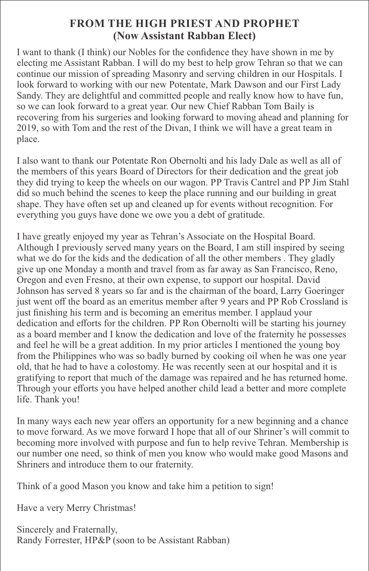#### **FROM THE HIGH PRIEST AND PROPHET (Now Assistant Rabban Elect)**

I want to thank (I think) our Nobles for the confidence they have shown in me by electing me Assistant Rabban. I will do my best to help grow Tehran so that we can continue our mission of spreading Masonry and serving children in our Hospitals. I look forward to working with our new Potentate, Mark Dawson and our First Lady Sandy. They are delightful and committed people and really know how to have fun, so we can look forward to a great year. Our new Chief Rabban Tom Baily is recovering from his surgeries and looking forward to moving ahead and planning for 2019, so with Tom and the rest of the Divan, I think we will have a great team in place.

I also want to thank our Potentate Ron Obernolti and his lady Dale as well as all of the members of this years Board of Directors for their dedication and the great job they did trying to keep the wheels on our wagon. PP Travis Cantrel and PP Jim Stahl did so much behind the scenes to keep the place running and our building in great shape. They have often set up and cleaned up for events without recognition. For everything you guys have done we owe you a debt of gratitude.

I have greatly enjoyed my year as Tehran's Associate on the Hospital Board. Although I previously served many years on the Board, I am still inspired by seeing what we do for the kids and the dedication of all the other members . They gladly give up one Monday a month and travel from as far away as San Francisco, Reno, Oregon and even Fresno, at their own expense, to support our hospital. David Johnson has served 8 years so far and is the chairman of the board, Larry Goeringer just went off the board as an emeritus member after 9 years and PP Rob Crossland is just finishing his term and is becoming an emeritus member. I applaud your dedication and efforts for the children. PP Ron Obernolti will be starting his journey as a board member and I know the dedication and love of the fraternity he possesses and feel he will be a great addition. In my prior articles I mentioned the young boy from the Philippines who was so badly burned by cooking oil when he was one year old, that he had to have a colostomy. He was recently seen at our hospital and it is gratifying to report that much of the damage was repaired and he has returned home. Through your efforts you have helped another child lead a better and more complete life. Thank you!

In many ways each new year offers an opportunity for a new beginning and a chance to move forward. As we move forward I hope that all of our Shriner's will commit to becoming more involved with purpose and fun to help revive Tehran. Membership is our number one need, so think of men you know who would make good Masons and Shriners and introduce them to our fraternity.

Think of a good Mason you know and take him a petition to sign!

Have a very Merry Christmas!

Sincerely and Fraternally, Randy Forrester, HP&P (soon to be Assistant Rabban)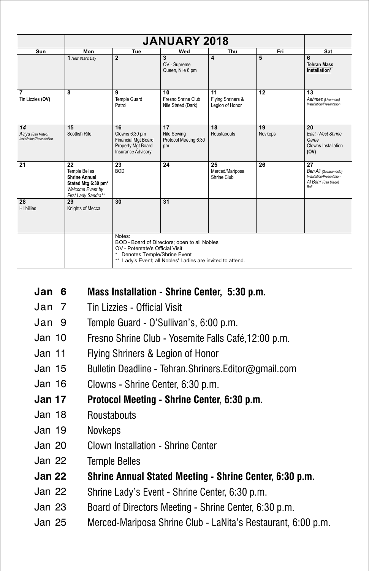| Sun                                                  | Mon                                                                                                                  | Tue                                                                                                                                                                                    | Wed                                              | Thu                                        | Fri           | Sat                                                                                     |  |  |  |
|------------------------------------------------------|----------------------------------------------------------------------------------------------------------------------|----------------------------------------------------------------------------------------------------------------------------------------------------------------------------------------|--------------------------------------------------|--------------------------------------------|---------------|-----------------------------------------------------------------------------------------|--|--|--|
|                                                      | 1 New Year's Day                                                                                                     | $\overline{2}$                                                                                                                                                                         | 3<br>OV - Supreme<br>Queen, Nile 6 pm            | 4                                          | 5             | 6<br><b>Tehran Mass</b><br>Installation*                                                |  |  |  |
| $\overline{7}$<br>Tin Lizzies (OV)                   | 8                                                                                                                    | 9<br><b>Temple Guard</b><br>Patrol                                                                                                                                                     | 10<br>Fresno Shrine Club<br>Nile Stated (Dark)   | 11<br>Flying Shriners &<br>Legion of Honor | 12            | 13<br>Aahmes (Livermore)<br>Installation/Presentation                                   |  |  |  |
| 14<br>Asiya (San Mateo)<br>Installation/Presentation | 15<br>Scottish Rite                                                                                                  | 16<br>Clowns 6:30 pm<br><b>Financial Mgt Board</b><br>Property Mgt Board<br>Insurance Advisory                                                                                         | 17<br>Nile Sewing<br>Protocol Meeting 6:30<br>pm | 18<br>Roustabouts                          | 19<br>Novkeps | 20<br>East-West Shrine<br>Game<br>Clowns Installation<br>(OV)                           |  |  |  |
| 21                                                   | 22<br><b>Temple Belles</b><br><b>Shrine Annual</b><br>Stated Mtg 6:30 pm*<br>Welcome Event by<br>First Lady Sandra** | 23<br><b>BOD</b>                                                                                                                                                                       | 24                                               | 25<br>Merced/Mariposa<br>Shrine Club       | 26            | 27<br>Ben Ali (Sacaramento)<br>Installation/Presentation<br>Al Bahr (San Diego)<br>Rall |  |  |  |
| 28<br><b>Hillbillies</b>                             | 29<br>Knights of Mecca                                                                                               | 30                                                                                                                                                                                     | 31                                               |                                            |               |                                                                                         |  |  |  |
|                                                      |                                                                                                                      | Notes:<br>BOD - Board of Directors; open to all Nobles<br>OV - Potentate's Official Visit<br>Denotes Temple/Shrine Event<br>** Lady's Event; all Nobles' Ladies are invited to attend. |                                                  |                                            |               |                                                                                         |  |  |  |

#### **Jan 6 Mass Installation - Shrine Center, 5:30 p.m.**

- Jan 7 Tin Lizzies - Official Visit
- Jan 9 Temple Guard - O'Sullivan's, 6:00 p.m.
- Jan 10 Fresno Shrine Club - Yosemite Falls Café,12:00 p.m.
- Jan 11 Flying Shriners & Legion of Honor
- Jan 15 Bulletin Deadline - Tehran.Shriners.Editor@gmail.com
- Jan 16 Clowns - Shrine Center, 6:30 p.m.
- **Jan 17 Protocol Meeting - Shrine Center, 6:30 p.m.**
- Jan 18 **Roustabouts**
- Jan 19 Novkeps
- Jan 20 Clown Installation - Shrine Center
- Jan 22 Temple Belles
- **Jan 22 Shrine Annual Stated Meeting - Shrine Center, 6:30 p.m.**
- Jan 22 Shrine Lady's Event - Shrine Center, 6:30 p.m.
- Jan 23 Board of Directors Meeting - Shrine Center, 6:30 p.m.
- Jan 25 Merced-Mariposa Shrine Club - LaNita's Restaurant, 6:00 p.m.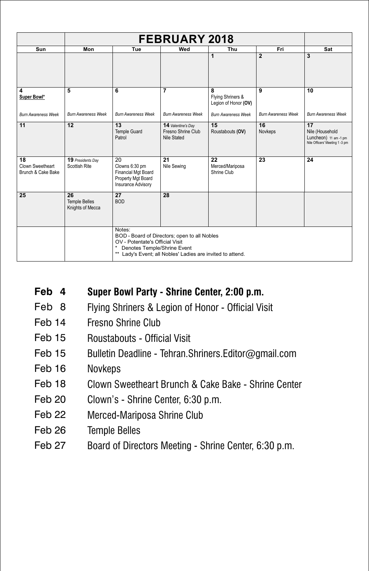| Sun                                          | Mon                                            | Tue                                                                                                                                                                                    | Wed                                                     | Thu                                            | Fri                        | Sat                                                                              |  |  |
|----------------------------------------------|------------------------------------------------|----------------------------------------------------------------------------------------------------------------------------------------------------------------------------------------|---------------------------------------------------------|------------------------------------------------|----------------------------|----------------------------------------------------------------------------------|--|--|
|                                              |                                                |                                                                                                                                                                                        |                                                         | 1                                              | $\overline{2}$             | 3                                                                                |  |  |
| 4<br>Super Bowl*                             | 5                                              | 6                                                                                                                                                                                      | 7                                                       | 8<br>Flying Shriners &<br>Legion of Honor (OV) | 9                          | 10                                                                               |  |  |
| <b>Burn Awareness Week</b>                   | <b>Burn Awareness Week</b>                     | <b>Burn Awareness Week</b>                                                                                                                                                             | <b>Burn Awareness Week</b>                              | <b>Burn Awareness Week</b>                     | <b>Burn Awareness Week</b> | <b>Bum Awareness Week</b>                                                        |  |  |
| 11                                           | 12                                             | 13<br><b>Temple Guard</b><br>Patrol                                                                                                                                                    | 14 Valentine's Day<br>Fresno Shrine Club<br>Nile Stated | 15<br>Roustabouts (OV)                         | 16<br>Novkeps              | 17<br>Nile (Household<br>Luncheon) 11 am -1 pm<br>Nile Officers' Meeting 1 -3 pm |  |  |
| 18<br>Clown Sweetheart<br>Brunch & Cake Bake | 19 Presidents Day<br>Scottish Rite             | 20<br>Clowns 6:30 pm<br><b>Financial Mgt Board</b><br>Property Mgt Board<br>Insurance Advisory                                                                                         | 21<br>Nile Sewing                                       | 22<br>Merced/Mariposa<br>Shrine Club           | 23                         | 24                                                                               |  |  |
| 25                                           | 26<br><b>Temple Belles</b><br>Knights of Mecca | 27<br><b>BOD</b>                                                                                                                                                                       | 28                                                      |                                                |                            |                                                                                  |  |  |
|                                              |                                                | Notes:<br>BOD - Board of Directors; open to all Nobles<br>OV - Potentate's Official Visit<br>Denotes Temple/Shrine Event<br>** Lady's Event; all Nobles' Ladies are invited to attend. |                                                         |                                                |                            |                                                                                  |  |  |

- **Feb 4 Super Bowl Party - Shrine Center, 2:00 p.m.**
- Feb 8 Flying Shriners & Legion of Honor - Official Visit
- Feb 14 Fresno Shrine Club
- Feb 15 Roustabouts - Official Visit
- Feb 15 Bulletin Deadline - Tehran.Shriners.Editor@gmail.com
- Feb 16 Novkeps
- Feb 18 Clown Sweetheart Brunch & Cake Bake - Shrine Center
- Feb 20 Clown's - Shrine Center, 6:30 p.m.
- Feb 22 Merced-Mariposa Shrine Club
- Feb 26 Temple Belles
- Feb 27 Board of Directors Meeting - Shrine Center, 6:30 p.m.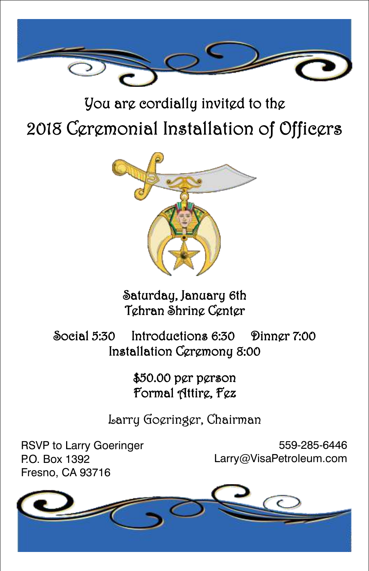

### You are cordially invited to the 2018 Ceremonial Installation of Officers



Saturday, January 6th Tehran Shrine Center

Social 5:30 Introductions 6:30 Dinner 7:00 Installation Ceremony 8:00

> \$50.00 per person Formal Attirg, Fgz

Larry Goeringer, Chairman

RSVP to Larry Goeringer P.O. Box 1392 Fresno, CA 93716

559-285-6446 Larry@VisaPetroleum.com

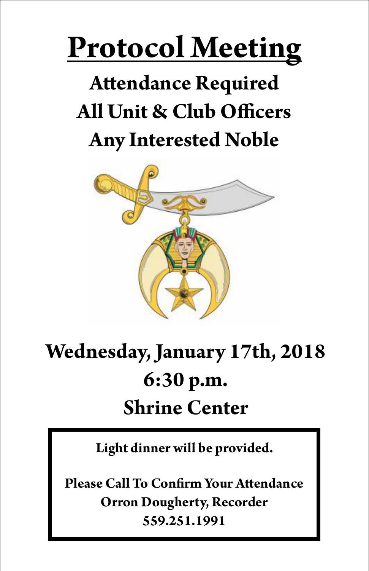# **Protocol Meeting**

# **Attendance Required All Unit & Club Officers Any Interested Noble**



## **Wednesday, January 17th, 2018 6:30 p.m. Shrine Center**

**Light dinner will be provided.**

**Please Call To Confirm Your Attendance Orron Dougherty, Recorder 559.251.1991**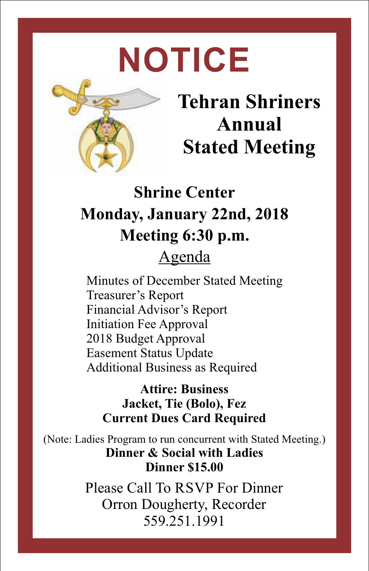# **NOTICE**



### **Tehran Shriners Annual Stated Meeting**

### **Shrine Center Monday, January 22nd, 2018 Meeting 6:30 p.m.** Agenda

Minutes of December Stated Meeting Treasurer's Report Financial Advisor's Report Initiation Fee Approval 2018 Budget Approval Easement Status Update Additional Business as Required

**Attire: Business Jacket, Tie (Bolo), Fez Current Dues Card Required**

(Note: Ladies Program to run concurrent with Stated Meeting.) **Dinner & Social with Ladies Dinner \$15.00**

> Please Call To RSVP For Dinner Orron Dougherty, Recorder 559.251.1991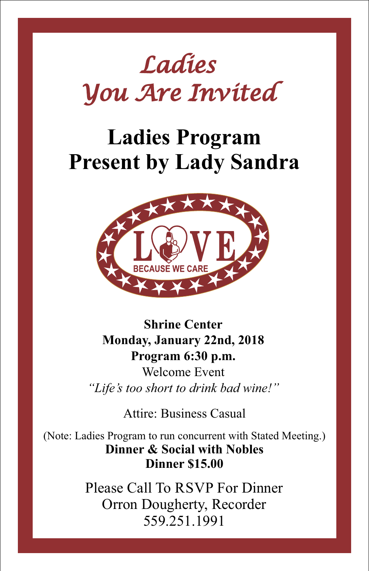# *Ladies You Are Invited*

### **Ladies Program Present by Lady Sandra**



**Shrine Center Monday, January 22nd, 2018 Program 6:30 p.m.** Welcome Event *"Life's too short to drink bad wine!"*

Attire: Business Casual

(Note: Ladies Program to run concurrent with Stated Meeting.) **Dinner & Social with Nobles Dinner \$15.00**

> Please Call To RSVP For Dinner Orron Dougherty, Recorder 559.251.1991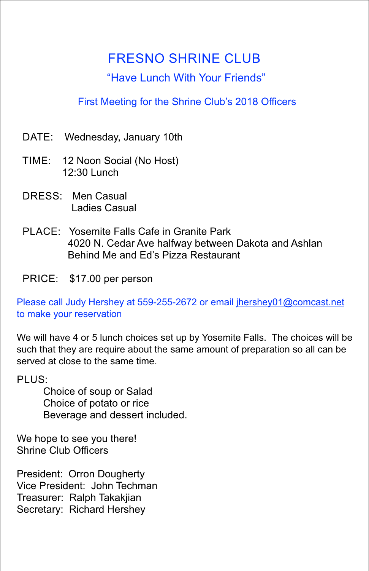#### FRESNO SHRINE CLUB

#### "Have Lunch With Your Friends"

#### First Meeting for the Shrine Club's 2018 Officers

- DATE: Wednesday, January 10th
- TIME: 12 Noon Social (No Host) 12:30 Lunch
- DRESS: Men Casual Ladies Casual
- PLACE: Yosemite Falls Cafe in Granite Park 4020 N. Cedar Ave halfway between Dakota and Ashlan Behind Me and Ed's Pizza Restaurant
- PRICE: \$17.00 per person

Please call Judy Hershey at 559-255-2672 or email jhershey01@comcast.net to make your reservation

We will have 4 or 5 lunch choices set up by Yosemite Falls. The choices will be such that they are require about the same amount of preparation so all can be served at close to the same time.

PLUS:

Choice of soup or Salad Choice of potato or rice Beverage and dessert included. .

We hope to see you there! Shrine Club Officers

President: Orron Dougherty Vice President: John Techman Treasurer: Ralph Takakjian Secretary: Richard Hershey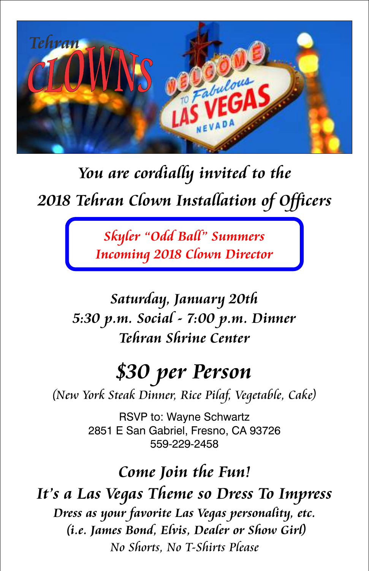

### *You are cordially invited to the* 2018 Tehran Clown Installation of Officers

*Skyler "Odd Ball" Summers Incoming 2018 Clown Director*

### *Saturday, January 20th 5:30 p.m. Social - 7:00 p.m. Dinner Tehran Shrine Center*

### *\$30 per Person*

*(New York Steak Dinner, Rice Pilaf, Vegetable, Cake)*

RSVP to: Wayne Schwartz 2851 E San Gabriel, Fresno, CA 93726 559-229-2458

### *Come Join the Fun!*

*It's a Las Vegas Theme so Dress To Impress Dress as your favorite Las Vegas personality, etc. (i.e. James Bond, Elvis, Dealer or Show Girl) No Shorts, No T-Shirts Please*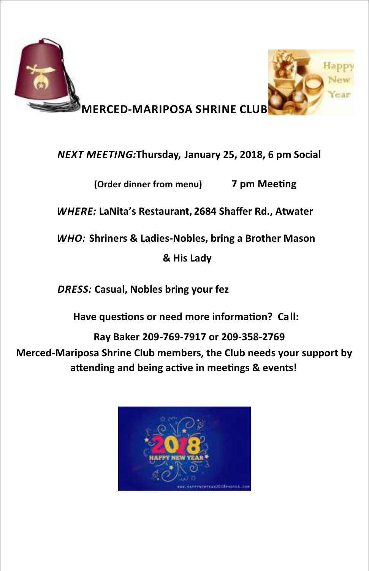

#### *NEXT MEETING:***Thursday, January 25, 2018, 6 pm Social**

**(Order dinner from menu) 7 pm Meeting** 

*WHERE:* **LaNita's Restaurant, 2684 Shaffer Rd., Atwater**

*WHO:* **Shriners & Ladies-Nobles, bring a Brother Mason**

**& His Lady**

*DRESS:* **Casual, Nobles bring your fez** 

**Have questions or need more information? Call:** 

**Ray Baker 209-769-7917 or 209-358-2769 Merced-Mariposa Shrine Club members, the Club needs your support by**  attending and being active in meetings & events!

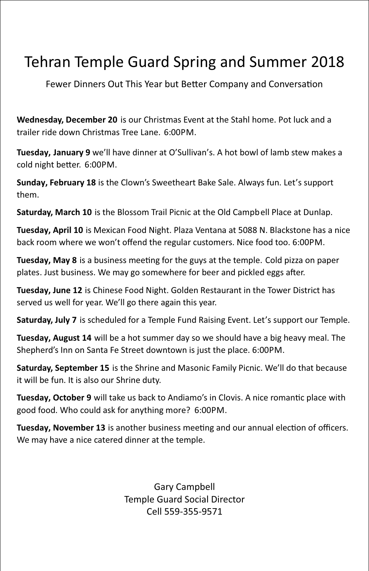### Tehran Temple Guard Spring and Summer 2018

Fewer Dinners Out This Year but Better Company and Conversation

**Wednesday, December 20** is our Christmas Event at the Stahl home. Pot luck and a trailer ride down Christmas Tree Lane. 6:00PM.

**Tuesday, January 9** we'll have dinner at O'Sullivan's. A hot bowl of lamb stew makes a cold night better. 6:00PM.

**Sunday, February 18** is the Clown's Sweetheart Bake Sale. Always fun. Let's support them.

**Saturday, March 10** is the Blossom Trail Picnic at the Old Campbell Place at Dunlap.

**Tuesday, April 10** is Mexican Food Night. Plaza Ventana at 5088 N. Blackstone has a nice back room where we won't offend the regular customers. Nice food too. 6:00PM.

**Tuesday, May 8** is a business meeting for the guys at the temple. Cold pizza on paper plates. Just business. We may go somewhere for beer and pickled eggs after.

**Tuesday, June 12** is Chinese Food Night. Golden Restaurant in the Tower District has served us well for year. We'll go there again this year.

**Saturday, July 7** is scheduled for a Temple Fund Raising Event. Let's support our Temple.

**Tuesday, August 14** will be a hot summer day so we should have a big heavy meal. The Shepherd's Inn on Santa Fe Street downtown is just the place. 6:00PM.

**Saturday, September 15** is the Shrine and Masonic Family Picnic. We'll do that because it will be fun. It is also our Shrine duty.

Tuesday, October 9 will take us back to Andiamo's in Clovis. A nice romantic place with good food. Who could ask for anything more? 6:00PM.

**Tuesday, November 13** is another business meeting and our annual election of officers. We may have a nice catered dinner at the temple.

> Gary Campbell Temple Guard Social Director Cell 559-355-9571